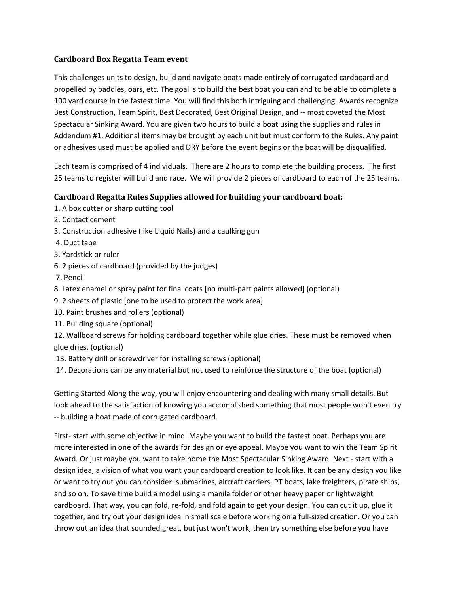## **Cardboard Box Regatta Team event**

This challenges units to design, build and navigate boats made entirely of corrugated cardboard and propelled by paddles, oars, etc. The goal is to build the best boat you can and to be able to complete a 100 yard course in the fastest time. You will find this both intriguing and challenging. Awards recognize Best Construction, Team Spirit, Best Decorated, Best Original Design, and -- most coveted the Most Spectacular Sinking Award. You are given two hours to build a boat using the supplies and rules in Addendum #1. Additional items may be brought by each unit but must conform to the Rules. Any paint or adhesives used must be applied and DRY before the event begins or the boat will be disqualified.

Each team is comprised of 4 individuals. There are 2 hours to complete the building process. The first 25 teams to register will build and race. We will provide 2 pieces of cardboard to each of the 25 teams.

## **Cardboard Regatta Rules Supplies allowed for building your cardboard boat:**

- 1. A box cutter or sharp cutting tool
- 2. Contact cement
- 3. Construction adhesive (like Liquid Nails) and a caulking gun
- 4. Duct tape
- 5. Yardstick or ruler
- 6. 2 pieces of cardboard (provided by the judges)
- 7. Pencil
- 8. Latex enamel or spray paint for final coats [no multi-part paints allowed] (optional)
- 9. 2 sheets of plastic [one to be used to protect the work area]
- 10. Paint brushes and rollers (optional)
- 11. Building square (optional)
- 12. Wallboard screws for holding cardboard together while glue dries. These must be removed when glue dries. (optional)
- 13. Battery drill or screwdriver for installing screws (optional)
- 14. Decorations can be any material but not used to reinforce the structure of the boat (optional)

Getting Started Along the way, you will enjoy encountering and dealing with many small details. But look ahead to the satisfaction of knowing you accomplished something that most people won't even try -- building a boat made of corrugated cardboard.

First- start with some objective in mind. Maybe you want to build the fastest boat. Perhaps you are more interested in one of the awards for design or eye appeal. Maybe you want to win the Team Spirit Award. Or just maybe you want to take home the Most Spectacular Sinking Award. Next - start with a design idea, a vision of what you want your cardboard creation to look like. It can be any design you like or want to try out you can consider: submarines, aircraft carriers, PT boats, lake freighters, pirate ships, and so on. To save time build a model using a manila folder or other heavy paper or lightweight cardboard. That way, you can fold, re-fold, and fold again to get your design. You can cut it up, glue it together, and try out your design idea in small scale before working on a full-sized creation. Or you can throw out an idea that sounded great, but just won't work, then try something else before you have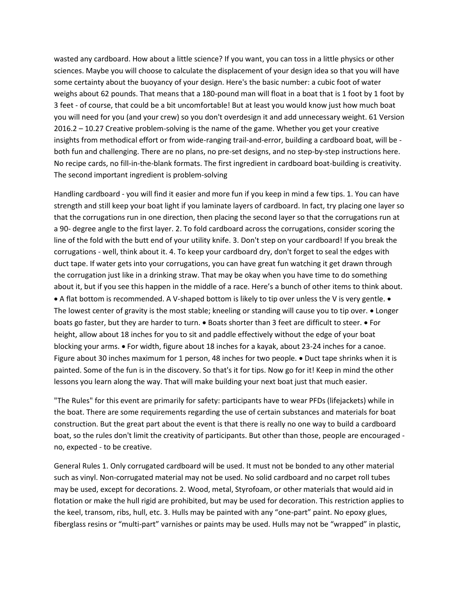wasted any cardboard. How about a little science? If you want, you can toss in a little physics or other sciences. Maybe you will choose to calculate the displacement of your design idea so that you will have some certainty about the buoyancy of your design. Here's the basic number: a cubic foot of water weighs about 62 pounds. That means that a 180-pound man will float in a boat that is 1 foot by 1 foot by 3 feet - of course, that could be a bit uncomfortable! But at least you would know just how much boat you will need for you (and your crew) so you don't overdesign it and add unnecessary weight. 61 Version 2016.2 – 10.27 Creative problem-solving is the name of the game. Whether you get your creative insights from methodical effort or from wide-ranging trail-and-error, building a cardboard boat, will be both fun and challenging. There are no plans, no pre-set designs, and no step-by-step instructions here. No recipe cards, no fill-in-the-blank formats. The first ingredient in cardboard boat-building is creativity. The second important ingredient is problem-solving

Handling cardboard - you will find it easier and more fun if you keep in mind a few tips. 1. You can have strength and still keep your boat light if you laminate layers of cardboard. In fact, try placing one layer so that the corrugations run in one direction, then placing the second layer so that the corrugations run at a 90- degree angle to the first layer. 2. To fold cardboard across the corrugations, consider scoring the line of the fold with the butt end of your utility knife. 3. Don't step on your cardboard! If you break the corrugations - well, think about it. 4. To keep your cardboard dry, don't forget to seal the edges with duct tape. If water gets into your corrugations, you can have great fun watching it get drawn through the corrugation just like in a drinking straw. That may be okay when you have time to do something about it, but if you see this happen in the middle of a race. Here's a bunch of other items to think about.  $\bullet$  A flat bottom is recommended. A V-shaped bottom is likely to tip over unless the V is very gentle.  $\bullet$ The lowest center of gravity is the most stable; kneeling or standing will cause you to tip over.  $\bullet$  Longer boats go faster, but they are harder to turn.  $\bullet$  Boats shorter than 3 feet are difficult to steer.  $\bullet$  For height, allow about 18 inches for you to sit and paddle effectively without the edge of your boat blocking your arms. • For width, figure about 18 inches for a kayak, about 23-24 inches for a canoe. Figure about 30 inches maximum for 1 person, 48 inches for two people. • Duct tape shrinks when it is painted. Some of the fun is in the discovery. So that's it for tips. Now go for it! Keep in mind the other lessons you learn along the way. That will make building your next boat just that much easier.

"The Rules" for this event are primarily for safety: participants have to wear PFDs (lifejackets) while in the boat. There are some requirements regarding the use of certain substances and materials for boat construction. But the great part about the event is that there is really no one way to build a cardboard boat, so the rules don't limit the creativity of participants. But other than those, people are encouraged no, expected - to be creative.

General Rules 1. Only corrugated cardboard will be used. It must not be bonded to any other material such as vinyl. Non-corrugated material may not be used. No solid cardboard and no carpet roll tubes may be used, except for decorations. 2. Wood, metal, Styrofoam, or other materials that would aid in flotation or make the hull rigid are prohibited, but may be used for decoration. This restriction applies to the keel, transom, ribs, hull, etc. 3. Hulls may be painted with any "one-part" paint. No epoxy glues, fiberglass resins or "multi-part" varnishes or paints may be used. Hulls may not be "wrapped" in plastic,